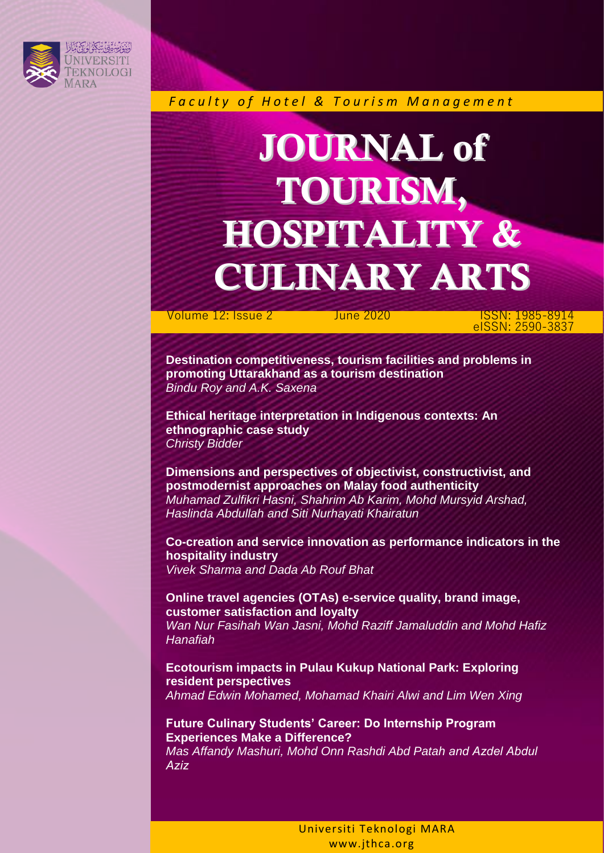

*F a c u l t y o f H o t e l & T o u r i s m M a n a g e m e n t*

## JOURNAL of TOURISM, HOSPITALITY & CULINARY ARTS

 Volume 12: Issue 2 June 2020 ISSN: 1985-8914 eISSN: 2590-3837

**Destination competitiveness, tourism facilities and problems in promoting Uttarakhand as a tourism destination**  *Bindu Roy and A.K. Saxena* 

**Ethical heritage interpretation in Indigenous contexts: An ethnographic case study** *Christy Bidder* 

**Dimensions and perspectives of objectivist, constructivist, and postmodernist approaches on Malay food authenticity**  *Muhamad Zulfikri Hasni, Shahrim Ab Karim, Mohd Mursyid Arshad, Haslinda Abdullah and Siti Nurhayati Khairatun* 

**Co-creation and service innovation as performance indicators in the hospitality industry**  *Vivek Sharma and Dada Ab Rouf Bhat* 

**Online travel agencies (OTAs) e-service quality, brand image, customer satisfaction and loyalty**  *Wan Nur Fasihah Wan Jasni, Mohd Raziff Jamaluddin and Mohd Hafiz Hanafiah* 

**Ecotourism impacts in Pulau Kukup National Park: Exploring resident perspectives**  *Ahmad Edwin Mohamed, Mohamad Khairi Alwi and Lim Wen Xing* 

**Future Culinary Students' Career: Do Internship Program Experiences Make a Difference?** 

*Mas Affandy Mashuri, Mohd Onn Rashdi Abd Patah and Azdel Abdul Aziz*

> Universiti Teknologi MARA www.jthca.org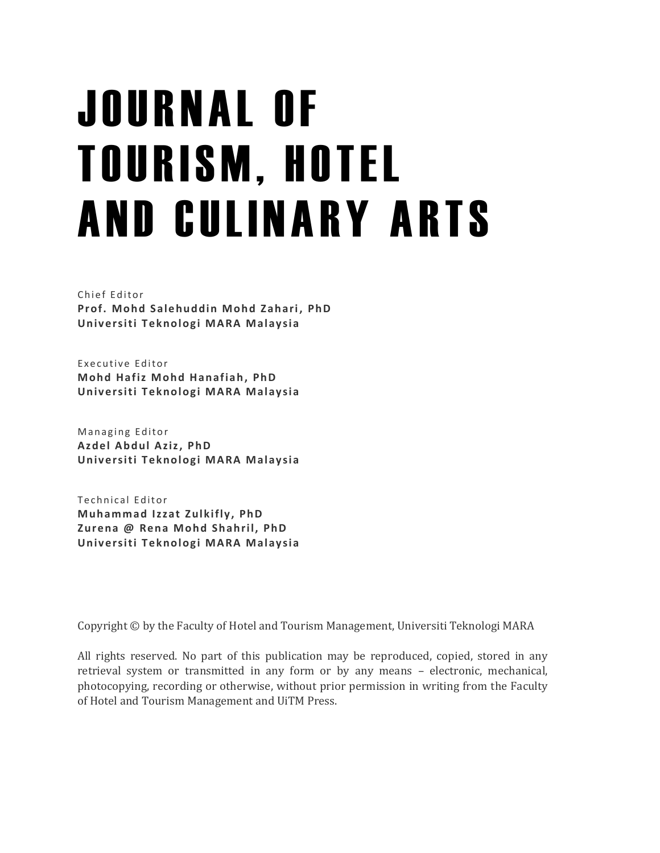## J O U R N A L O F **TOURISM, HOTEL** AND CULINARY ARTS

Chief Editor Prof. Mohd Salehuddin Mohd Zahari, PhD **Universiti Teknologi MARA Malaysia** 

Executive Editor **Mohd Hafiz Mohd Hanafiah, PhD Universiti Teknologi MARA Malaysia** 

Managing Editor **Azdel A bdul Aziz , PhD Universiti Teknologi MARA Malaysia** 

Technical Editor **Muhammad Izzat Zulkifly, PhD Zurena @ Rena M ohd Shahril, PhD Universiti Teknologi MARA Malaysia** 

Copyright © by the Faculty of Hotel and Tourism Management, Universiti Teknologi MARA

All rights reserved. No part of this publication may be reproduced, copied, stored in any retrieval system or transmitted in any form or by any means – electronic, mechanical, photocopying, recording or otherwise, without prior permission in writing from the Faculty of Hotel and Tourism Management and UiTM Press.